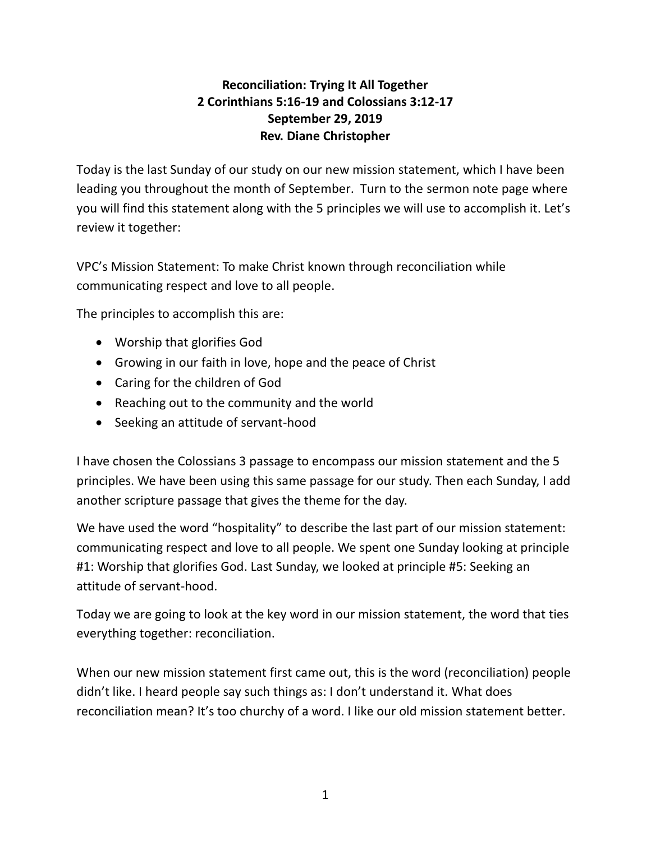## **Reconciliation: Trying It All Together 2 Corinthians 5:16-19 and Colossians 3:12-17 September 29, 2019 Rev. Diane Christopher**

Today is the last Sunday of our study on our new mission statement, which I have been leading you throughout the month of September. Turn to the sermon note page where you will find this statement along with the 5 principles we will use to accomplish it. Let's review it together:

VPC's Mission Statement: To make Christ known through reconciliation while communicating respect and love to all people.

The principles to accomplish this are:

- Worship that glorifies God
- Growing in our faith in love, hope and the peace of Christ
- Caring for the children of God
- Reaching out to the community and the world
- Seeking an attitude of servant-hood

I have chosen the Colossians 3 passage to encompass our mission statement and the 5 principles. We have been using this same passage for our study. Then each Sunday, I add another scripture passage that gives the theme for the day.

We have used the word "hospitality" to describe the last part of our mission statement: communicating respect and love to all people. We spent one Sunday looking at principle #1: Worship that glorifies God. Last Sunday, we looked at principle #5: Seeking an attitude of servant-hood.

Today we are going to look at the key word in our mission statement, the word that ties everything together: reconciliation.

When our new mission statement first came out, this is the word (reconciliation) people didn't like. I heard people say such things as: I don't understand it. What does reconciliation mean? It's too churchy of a word. I like our old mission statement better.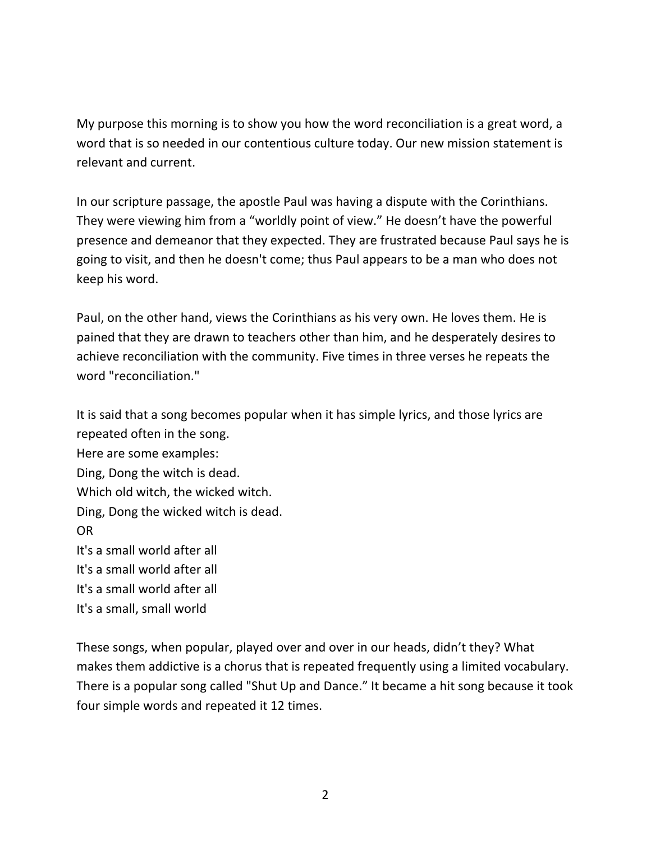My purpose this morning is to show you how the word reconciliation is a great word, a word that is so needed in our contentious culture today. Our new mission statement is relevant and current.

In our scripture passage, the apostle Paul was having a dispute with the Corinthians. They were viewing him from a "worldly point of view." He doesn't have the powerful presence and demeanor that they expected. They are frustrated because Paul says he is going to visit, and then he doesn't come; thus Paul appears to be a man who does not keep his word.

Paul, on the other hand, views the Corinthians as his very own. He loves them. He is pained that they are drawn to teachers other than him, and he desperately desires to achieve reconciliation with the community. Five times in three verses he repeats the word "reconciliation."

It is said that a song becomes popular when it has simple lyrics, and those lyrics are repeated often in the song. Here are some examples: Ding, Dong the witch is dead. Which old witch, the wicked witch. Ding, Dong the wicked witch is dead. OR It's a small world after all It's a small world after all It's a small world after all It's a small, small world

These songs, when popular, played over and over in our heads, didn't they? What makes them addictive is a chorus that is repeated frequently using a limited vocabulary. There is a popular song called "Shut Up and Dance." It became a hit song because it took four simple words and repeated it 12 times.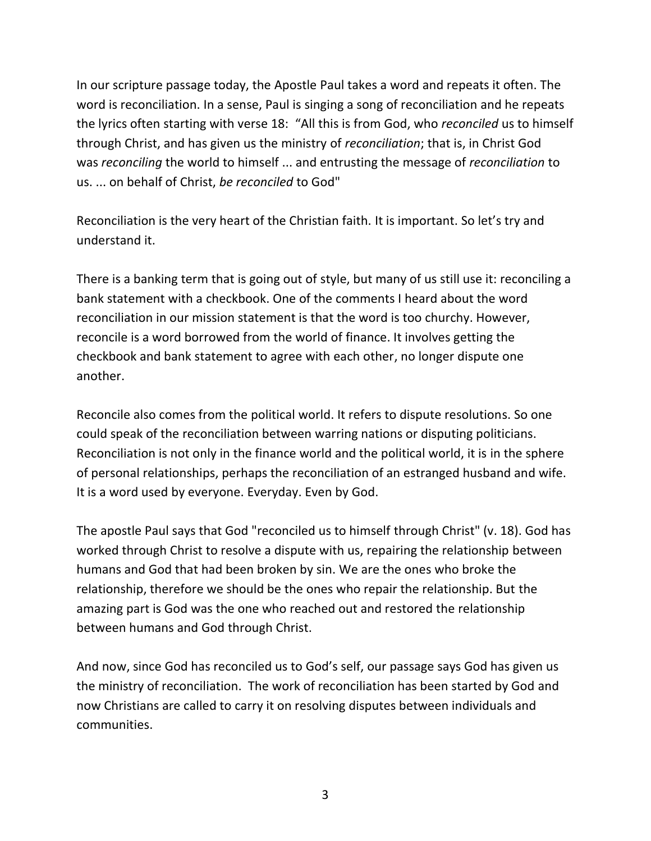In our scripture passage today, the Apostle Paul takes a word and repeats it often. The word is reconciliation. In a sense, Paul is singing a song of reconciliation and he repeats the lyrics often starting with verse 18: "All this is from God, who *reconciled* us to himself through Christ, and has given us the ministry of *reconciliation*; that is, in Christ God was *reconciling* the world to himself ... and entrusting the message of *reconciliation* to us. ... on behalf of Christ, *be reconciled* to God"

Reconciliation is the very heart of the Christian faith. It is important. So let's try and understand it.

There is a banking term that is going out of style, but many of us still use it: reconciling a bank statement with a checkbook. One of the comments I heard about the word reconciliation in our mission statement is that the word is too churchy. However, reconcile is a word borrowed from the world of finance. It involves getting the checkbook and bank statement to agree with each other, no longer dispute one another.

Reconcile also comes from the political world. It refers to dispute resolutions. So one could speak of the reconciliation between warring nations or disputing politicians. Reconciliation is not only in the finance world and the political world, it is in the sphere of personal relationships, perhaps the reconciliation of an estranged husband and wife. It is a word used by everyone. Everyday. Even by God.

The apostle Paul says that God "reconciled us to himself through Christ" (v. 18). God has worked through Christ to resolve a dispute with us, repairing the relationship between humans and God that had been broken by sin. We are the ones who broke the relationship, therefore we should be the ones who repair the relationship. But the amazing part is God was the one who reached out and restored the relationship between humans and God through Christ.

And now, since God has reconciled us to God's self, our passage says God has given us the ministry of reconciliation. The work of reconciliation has been started by God and now Christians are called to carry it on resolving disputes between individuals and communities.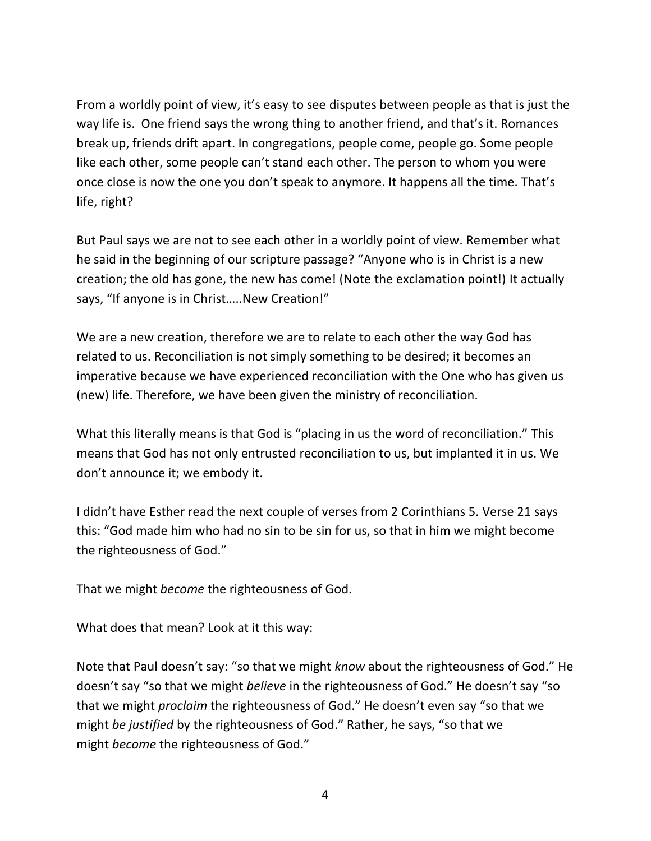From a worldly point of view, it's easy to see disputes between people as that is just the way life is. One friend says the wrong thing to another friend, and that's it. Romances break up, friends drift apart. In congregations, people come, people go. Some people like each other, some people can't stand each other. The person to whom you were once close is now the one you don't speak to anymore. It happens all the time. That's life, right?

But Paul says we are not to see each other in a worldly point of view. Remember what he said in the beginning of our scripture passage? "Anyone who is in Christ is a new creation; the old has gone, the new has come! (Note the exclamation point!) It actually says, "If anyone is in Christ…..New Creation!"

We are a new creation, therefore we are to relate to each other the way God has related to us. Reconciliation is not simply something to be desired; it becomes an imperative because we have experienced reconciliation with the One who has given us (new) life. Therefore, we have been given the ministry of reconciliation.

What this literally means is that God is "placing in us the word of reconciliation." This means that God has not only entrusted reconciliation to us, but implanted it in us. We don't announce it; we embody it.

I didn't have Esther read the next couple of verses from 2 Corinthians 5. Verse 21 says this: "God made him who had no sin to be sin for us, so that in him we might become the righteousness of God."

That we might *become* the righteousness of God.

What does that mean? Look at it this way:

Note that Paul doesn't say: "so that we might *know* about the righteousness of God." He doesn't say "so that we might *believe* in the righteousness of God." He doesn't say "so that we might *proclaim* the righteousness of God." He doesn't even say "so that we might *be justified* by the righteousness of God." Rather, he says, "so that we might *become* the righteousness of God."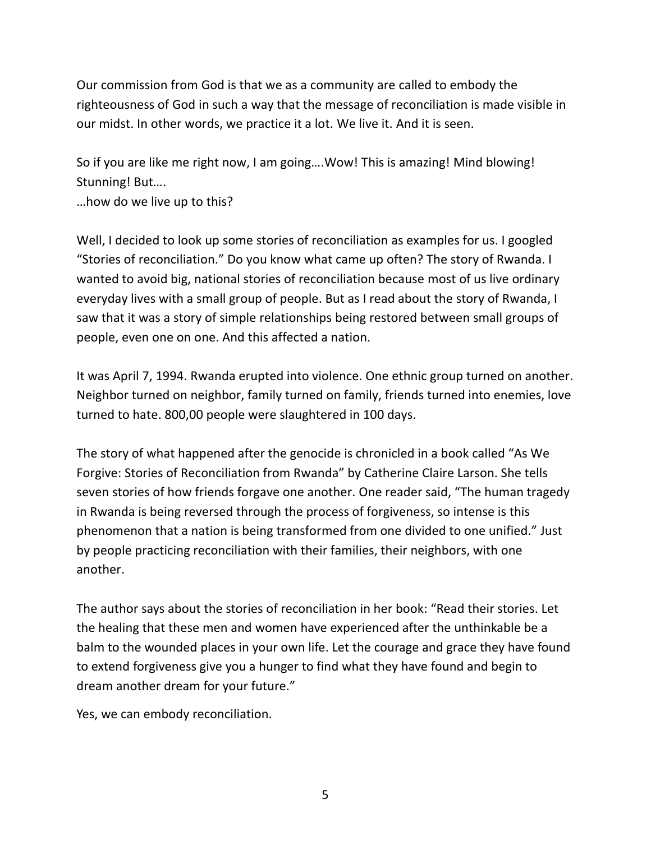Our commission from God is that we as a community are called to embody the righteousness of God in such a way that the message of reconciliation is made visible in our midst. In other words, we practice it a lot. We live it. And it is seen.

So if you are like me right now, I am going….Wow! This is amazing! Mind blowing! Stunning! But….

…how do we live up to this?

Well, I decided to look up some stories of reconciliation as examples for us. I googled "Stories of reconciliation." Do you know what came up often? The story of Rwanda. I wanted to avoid big, national stories of reconciliation because most of us live ordinary everyday lives with a small group of people. But as I read about the story of Rwanda, I saw that it was a story of simple relationships being restored between small groups of people, even one on one. And this affected a nation.

It was April 7, 1994. Rwanda erupted into violence. One ethnic group turned on another. Neighbor turned on neighbor, family turned on family, friends turned into enemies, love turned to hate. 800,00 people were slaughtered in 100 days.

The story of what happened after the genocide is chronicled in a book called "As We Forgive: Stories of Reconciliation from Rwanda" by Catherine Claire Larson. She tells seven stories of how friends forgave one another. One reader said, "The human tragedy in Rwanda is being reversed through the process of forgiveness, so intense is this phenomenon that a nation is being transformed from one divided to one unified." Just by people practicing reconciliation with their families, their neighbors, with one another.

The author says about the stories of reconciliation in her book: "Read their stories. Let the healing that these men and women have experienced after the unthinkable be a balm to the wounded places in your own life. Let the courage and grace they have found to extend forgiveness give you a hunger to find what they have found and begin to dream another dream for your future."

Yes, we can embody reconciliation.

5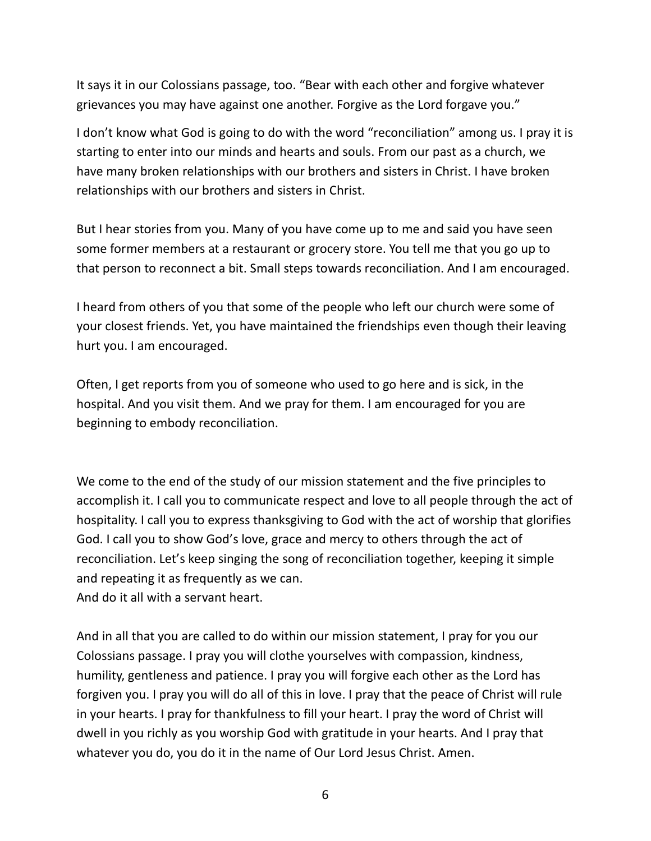It says it in our Colossians passage, too. "Bear with each other and forgive whatever grievances you may have against one another. Forgive as the Lord forgave you."

I don't know what God is going to do with the word "reconciliation" among us. I pray it is starting to enter into our minds and hearts and souls. From our past as a church, we have many broken relationships with our brothers and sisters in Christ. I have broken relationships with our brothers and sisters in Christ.

But I hear stories from you. Many of you have come up to me and said you have seen some former members at a restaurant or grocery store. You tell me that you go up to that person to reconnect a bit. Small steps towards reconciliation. And I am encouraged.

I heard from others of you that some of the people who left our church were some of your closest friends. Yet, you have maintained the friendships even though their leaving hurt you. I am encouraged.

Often, I get reports from you of someone who used to go here and is sick, in the hospital. And you visit them. And we pray for them. I am encouraged for you are beginning to embody reconciliation.

We come to the end of the study of our mission statement and the five principles to accomplish it. I call you to communicate respect and love to all people through the act of hospitality. I call you to express thanksgiving to God with the act of worship that glorifies God. I call you to show God's love, grace and mercy to others through the act of reconciliation. Let's keep singing the song of reconciliation together, keeping it simple and repeating it as frequently as we can. And do it all with a servant heart.

And in all that you are called to do within our mission statement, I pray for you our Colossians passage. I pray you will clothe yourselves with compassion, kindness, humility, gentleness and patience. I pray you will forgive each other as the Lord has forgiven you. I pray you will do all of this in love. I pray that the peace of Christ will rule in your hearts. I pray for thankfulness to fill your heart. I pray the word of Christ will dwell in you richly as you worship God with gratitude in your hearts. And I pray that whatever you do, you do it in the name of Our Lord Jesus Christ. Amen.